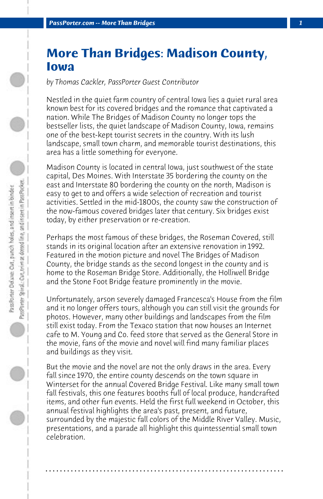## **More Than Bridges: Madison County, Iowa**

*by Thomas Cackler, PassPorter Guest Contributor*

Nestled in the quiet farm country of central Iowa lies a quiet rural area known best for its covered bridges and the romance that captivated a nation. While The Bridges of Madison County no longer tops the bestseller lists, the quiet landscape of Madison County, Iowa, remains one of the best-kept tourist secrets in the country. With its lush landscape, small town charm, and memorable tourist destinations, this area has a little something for everyone.

Madison County is located in central Iowa, just southwest of the state capital, Des Moines. With Interstate 35 bordering the county on the east and Interstate 80 bordering the county on the north, Madison is easy to get to and offers a wide selection of recreation and tourist activities. Settled in the mid-1800s, the county saw the construction of the now-famous covered bridges later that century. Six bridges exist today, by either preservation or re-creation.

Perhaps the most famous of these bridges, the Roseman Covered, still stands in its original location after an extensive renovation in 1992. Featured in the motion picture and novel The Bridges of Madison County, the bridge stands as the second longest in the county and is home to the Roseman Bridge Store. Additionally, the Holliwell Bridge and the Stone Foot Bridge feature prominently in the movie.

Unfortunately, arson severely damaged Francesca's House from the film and it no longer offers tours, although you can still visit the grounds for photos. However, many other buildings and landscapes from the film still exist today. From the Texaco station that now houses an Internet cafe to M. Young and Co. feed store that served as the General Store in the movie, fans of the movie and novel will find many familiar places and buildings as they visit.

But the movie and the novel are not the only draws in the area. Every fall since 1970, the entire county descends on the town square in Winterset for the annual Covered Bridge Festival. Like many small town fall festivals, this one features booths full of local produce, handcrafted items, and other fun events. Held the first full weekend in October, this annual festival highlights the area's past, present, and future, surrounded by the majestic fall colors of the Middle River Valley. Music, presentations, and a parade all highlight this quintessential small town celebration.

**. . . . . . . . . . . . . . . . . . . . . . . . . . . . . . . . . . . . . . . . . . . . . . . . . . . . . . . . . . . . . . . . . .**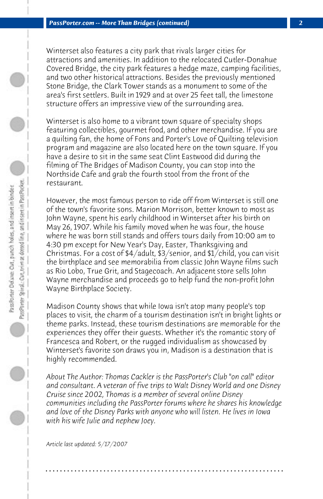Winterset also features a city park that rivals larger cities for attractions and amenities. In addition to the relocated Cutler-Donahue Covered Bridge, the city park features a hedge maze, camping facilities, and two other historical attractions. Besides the previously mentioned Stone Bridge, the Clark Tower stands as a monument to some of the area's first settlers. Built in 1929 and at over 25 feet tall, the limestone structure offers an impressive view of the surrounding area.

Winterset is also home to a vibrant town square of specialty shops featuring collectibles, gourmet food, and other merchandise. If you are a quilting fan, the home of Fons and Porter's Love of Quilting television program and magazine are also located here on the town square. If you have a desire to sit in the same seat Clint Eastwood did during the filming of The Bridges of Madison County, you can stop into the Northside Cafe and grab the fourth stool from the front of the restaurant.

However, the most famous person to ride off from Winterset is still one of the town's favorite sons. Marion Morrison, better known to most as John Wayne, spent his early childhood in Winterset after his birth on May 26, 1907. While his family moved when he was four, the house where he was born still stands and offers tours daily from 10:00 am to 4:30 pm except for New Year's Day, Easter, Thanksgiving and Christmas. For a cost of \$4/adult, \$3/senior, and \$1/child, you can visit the birthplace and see memorabilia from classic John Wayne films such as Rio Lobo, True Grit, and Stagecoach. An adjacent store sells John Wayne merchandise and proceeds go to help fund the non-profit John Wayne Birthplace Society.

Madison County shows that while Iowa isn't atop many people's top places to visit, the charm of a tourism destination isn't in bright lights or theme parks. Instead, these tourism destinations are memorable for the experiences they offer their guests. Whether it's the romantic story of Francesca and Robert, or the rugged individualism as showcased by Winterset's favorite son draws you in, Madison is a destination that is highly recommended.

*About The Author: Thomas Cackler is the PassPorter's Club "on call" editor and consultant. A veteran of five trips to Walt Disney World and one Disney Cruise since 2002, Thomas is a member of several online Disney communities including the PassPorter forums where he shares his knowledge and love of the Disney Parks with anyone who will listen. He lives in Iowa with his wife Julie and nephew Joey.*

**. . . . . . . . . . . . . . . . . . . . . . . . . . . . . . . . . . . . . . . . . . . . . . . . . . . . . . . . . . . . . . . . . .**

*Article last updated: 5/17/2007*